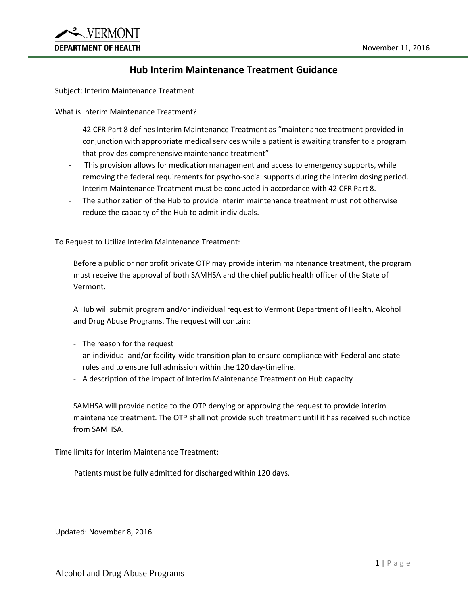

## **Hub Interim Maintenance Treatment Guidance**

Subject: Interim Maintenance Treatment

What is Interim Maintenance Treatment?

- 42 CFR Part 8 defines Interim Maintenance Treatment as "maintenance treatment provided in conjunction with appropriate medical services while a patient is awaiting transfer to a program that provides comprehensive maintenance treatment"
- This provision allows for medication management and access to emergency supports, while removing the federal requirements for psycho-social supports during the interim dosing period.
- Interim Maintenance Treatment must be conducted in accordance with 42 CFR Part 8.
- The authorization of the Hub to provide interim maintenance treatment must not otherwise reduce the capacity of the Hub to admit individuals.

To Request to Utilize Interim Maintenance Treatment:

Before a public or nonprofit private OTP may provide interim maintenance treatment, the program must receive the approval of both SAMHSA and the chief public health officer of the State of Vermont.

A Hub will submit program and/or individual request to Vermont Department of Health, Alcohol and Drug Abuse Programs. The request will contain:

- The reason for the request
- an individual and/or facility-wide transition plan to ensure compliance with Federal and state rules and to ensure full admission within the 120 day-timeline.
- A description of the impact of Interim Maintenance Treatment on Hub capacity

SAMHSA will provide notice to the OTP denying or approving the request to provide interim maintenance treatment. The OTP shall not provide such treatment until it has received such notice from SAMHSA.

Time limits for Interim Maintenance Treatment:

Patients must be fully admitted for discharged within 120 days.

Updated: November 8, 2016